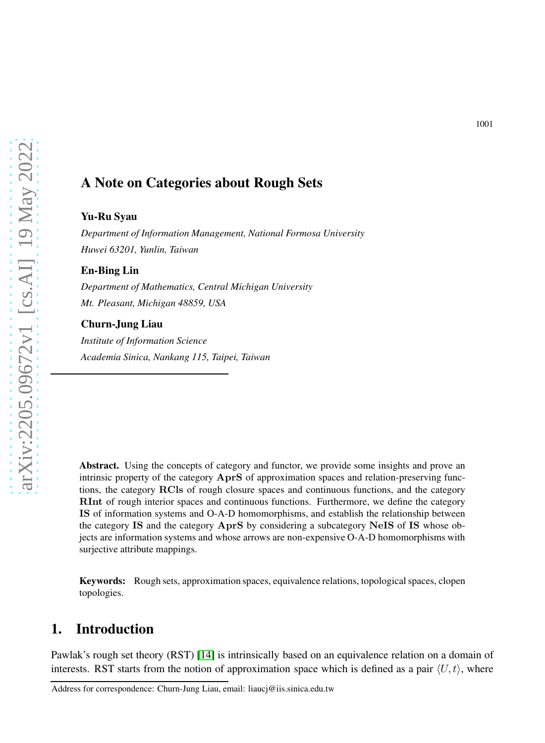# A Note on Categories about Rough Sets

#### Yu-Ru Syau

*Department of Information Management, National Formosa University Huwei 63201, Yunlin, Taiwan*

#### En-Bing Lin

*Department of Mathematics, Central Michigan University Mt. Pleasant, Michigan 48859, USA*

#### Churn-Jung Liau

*Institute of Information Science Academia Sinica, Nankang 115, Taipei, Taiwan*

Abstract. Using the concepts of category and functor, we provide some insights and prove an intrinsic property of the category AprS of approximation spaces and relation-preserving functions, the category RCls of rough closure spaces and continuous functions, and the category RInt of rough interior spaces and continuous functions. Furthermore, we define the category IS of information systems and O-A-D homomorphisms, and establish the relationship between the category IS and the category AprS by considering a subcategory NeIS of IS whose objects are information systems and whose arrows are non-expensive O-A-D homomorphisms with surjective attribute mappings.

Keywords: Rough sets, approximation spaces, equivalence relations, topological spaces, clopen topologies.

## 1. Introduction

Pawlak's rough set theory (RST) [\[14\]](#page-14-0) is intrinsically based on an equivalence relation on a domain of interests. RST starts from the notion of approximation space which is defined as a pair  $\langle U, t \rangle$ , where

Address for correspondence: Churn-Jung Liau, email: liaucj@iis.sinica.edu.tw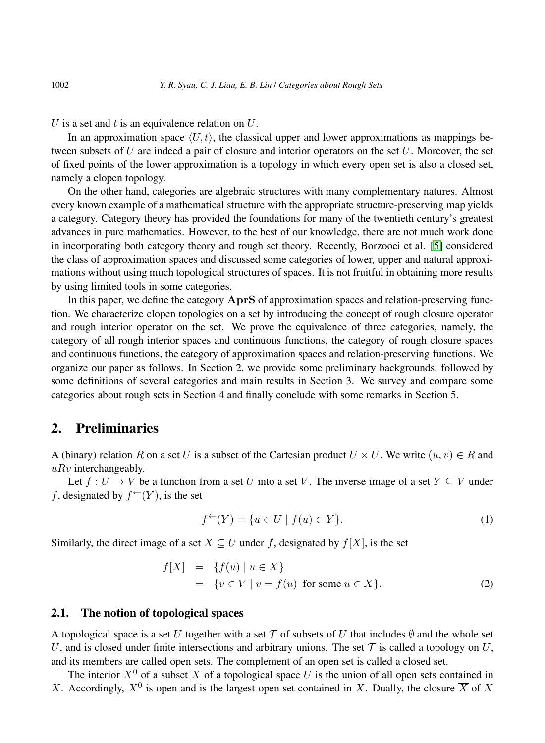U is a set and t is an equivalence relation on  $U$ .

In an approximation space  $\langle U, t \rangle$ , the classical upper and lower approximations as mappings between subsets of U are indeed a pair of closure and interior operators on the set U. Moreover, the set of fixed points of the lower approximation is a topology in which every open set is also a closed set, namely a clopen topology.

On the other hand, categories are algebraic structures with many complementary natures. Almost every known example of a mathematical structure with the appropriate structure-preserving map yields a category. Category theory has provided the foundations for many of the twentieth century's greatest advances in pure mathematics. However, to the best of our knowledge, there are not much work done in incorporating both category theory and rough set theory. Recently, Borzooei et al. [\[5\]](#page-14-1) considered the class of approximation spaces and discussed some categories of lower, upper and natural approximations without using much topological structures of spaces. It is not fruitful in obtaining more results by using limited tools in some categories.

In this paper, we define the category  $AprS$  of approximation spaces and relation-preserving function. We characterize clopen topologies on a set by introducing the concept of rough closure operator and rough interior operator on the set. We prove the equivalence of three categories, namely, the category of all rough interior spaces and continuous functions, the category of rough closure spaces and continuous functions, the category of approximation spaces and relation-preserving functions. We organize our paper as follows. In Section 2, we provide some preliminary backgrounds, followed by some definitions of several categories and main results in Section 3. We survey and compare some categories about rough sets in Section 4 and finally conclude with some remarks in Section 5.

## 2. Preliminaries

A (binary) relation R on a set U is a subset of the Cartesian product  $U \times U$ . We write  $(u, v) \in R$  and  $uRv$  interchangeably.

Let  $f: U \to V$  be a function from a set U into a set V. The inverse image of a set  $Y \subseteq V$  under f, designated by  $f^{\leftarrow}(Y)$ , is the set

$$
f^{\leftarrow}(Y) = \{ u \in U \mid f(u) \in Y \}. \tag{1}
$$

Similarly, the direct image of a set  $X \subseteq U$  under f, designated by  $f[X]$ , is the set

<span id="page-1-0"></span>
$$
f[X] = \{f(u) | u \in X\}
$$
  
=  $\{v \in V | v = f(u) \text{ for some } u \in X\}.$  (2)

## 2.1. The notion of topological spaces

A topological space is a set U together with a set T of subsets of U that includes  $\emptyset$  and the whole set U, and is closed under finite intersections and arbitrary unions. The set  $\mathcal T$  is called a topology on U, and its members are called open sets. The complement of an open set is called a closed set.

The interior  $X^0$  of a subset X of a topological space U is the union of all open sets contained in X. Accordingly,  $X^0$  is open and is the largest open set contained in X. Dually, the closure  $\overline{X}$  of X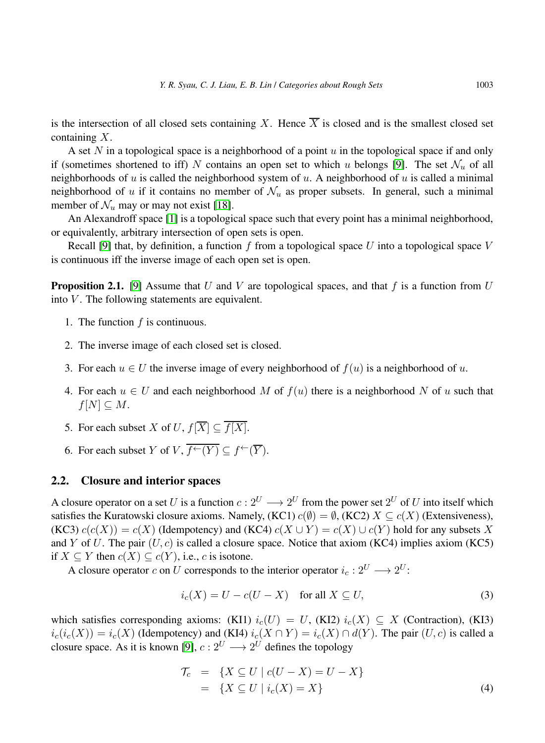is the intersection of all closed sets containing X. Hence  $\overline{X}$  is closed and is the smallest closed set containing X.

A set N in a topological space is a neighborhood of a point  $u$  in the topological space if and only if (sometimes shortened to iff) N contains an open set to which u belongs [\[9\]](#page-14-2). The set  $\mathcal{N}_u$  of all neighborhoods of u is called the neighborhood system of u. A neighborhood of u is called a minimal neighborhood of u if it contains no member of  $\mathcal{N}_u$  as proper subsets. In general, such a minimal member of  $\mathcal{N}_u$  may or may not exist [\[18\]](#page-14-3).

An Alexandroff space [\[1\]](#page-14-4) is a topological space such that every point has a minimal neighborhood, or equivalently, arbitrary intersection of open sets is open.

<span id="page-2-1"></span>Recall [\[9\]](#page-14-2) that, by definition, a function  $f$  from a topological space  $U$  into a topological space  $V$ is continuous iff the inverse image of each open set is open.

**Proposition 2.1.** [\[9\]](#page-14-2) Assume that U and V are topological spaces, and that f is a function from U into  $V$ . The following statements are equivalent.

- 1. The function  $f$  is continuous.
- 2. The inverse image of each closed set is closed.
- 3. For each  $u \in U$  the inverse image of every neighborhood of  $f(u)$  is a neighborhood of u.
- 4. For each  $u \in U$  and each neighborhood M of  $f(u)$  there is a neighborhood N of u such that  $f[N] \subseteq M$ .
- 5. For each subset X of U,  $f[\overline{X}] \subseteq \overline{f[X]}$ .
- 6. For each subset Y of V,  $\overline{f^{\leftarrow}(Y)} \subset f^{\leftarrow}(\overline{Y})$ .

### 2.2. Closure and interior spaces

A closure operator on a set U is a function  $c: 2^U \longrightarrow 2^U$  from the power set  $2^U$  of U into itself which satisfies the Kuratowski closure axioms. Namely, (KC1)  $c(\emptyset) = \emptyset$ , (KC2)  $X \subseteq c(X)$  (Extensiveness), (KC3)  $c(c(X)) = c(X)$  (Idempotency) and (KC4)  $c(X \cup Y) = c(X) \cup c(Y)$  hold for any subsets X and Y of U. The pair  $(U, c)$  is called a closure space. Notice that axiom (KC4) implies axiom (KC5) if  $X \subseteq Y$  then  $c(X) \subseteq c(Y)$ , i.e., c is isotone.

A closure operator c on U corresponds to the interior operator  $i_c: 2^U \longrightarrow 2^U$ :

<span id="page-2-0"></span>
$$
i_c(X) = U - c(U - X) \quad \text{for all } X \subseteq U,
$$
\n(3)

which satisfies corresponding axioms: (KI1)  $i_c(U) = U$ , (KI2)  $i_c(X) \subseteq X$  (Contraction), (KI3)  $i_c(i_c(X)) = i_c(X)$  (Idempotency) and (KI4)  $i_c(X \cap Y) = i_c(X) \cap d(Y)$ . The pair  $(U, c)$  is called a closure space. As it is known [\[9\]](#page-14-2),  $c: 2^U \longrightarrow 2^U$  defines the topology

<span id="page-2-2"></span>
$$
\begin{aligned}\n\mathcal{T}_c &= \{ X \subseteq U \mid c(U - X) = U - X \} \\
&= \{ X \subseteq U \mid i_c(X) = X \}\n\end{aligned}\n\tag{4}
$$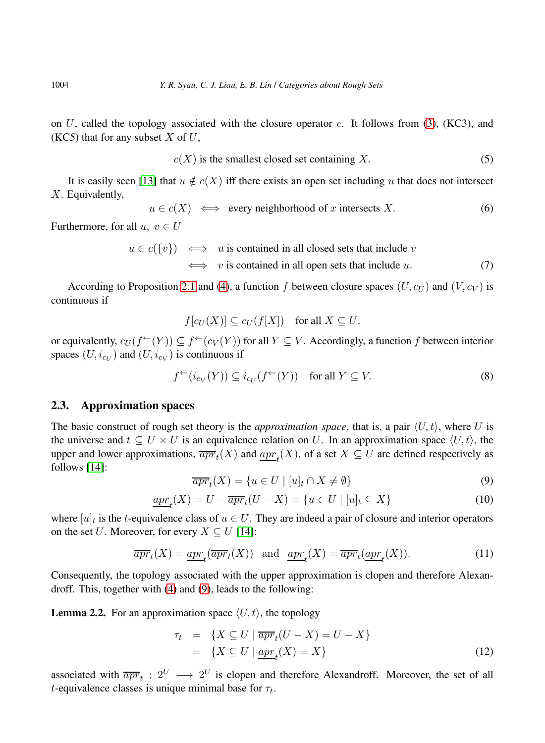on U, called the topology associated with the closure operator c. It follows from  $(3)$ ,  $(KC3)$ , and (KC5) that for any subset  $X$  of  $U$ ,

<span id="page-3-5"></span>
$$
c(X) \text{ is the smallest closed set containing } X. \tag{5}
$$

It is easily seen [\[13\]](#page-14-5) that  $u \notin c(X)$  iff there exists an open set including u that does not intersect X. Equivalently,

<span id="page-3-7"></span>
$$
u \in c(X)
$$
  $\iff$  every neighborhood of *x* intersects *X*. (6)

Furthermore, for all  $u, v \in U$ 

<span id="page-3-6"></span>
$$
u \in c({v}) \iff u
$$
 is contained in all closed sets that include  $v$   
 $\iff v$  is contained in all open sets that include  $u$ . (7)

According to Proposition [2.1](#page-2-1) and [\(4\)](#page-2-2), a function f between closure spaces  $(U, c_U)$  and  $(V, c_V)$  is continuous if

$$
f[c_U(X)] \subseteq c_U(f[X]) \quad \text{for all } X \subseteq U.
$$

or equivalently,  $c_U(f^{\leftarrow}(Y)) \subseteq f^{\leftarrow}(c_V(Y))$  for all  $Y \subseteq V$ . Accordingly, a function f between interior spaces  $(U, i_{cU})$  and  $(U, i_{cV})$  is continuous if

<span id="page-3-2"></span>
$$
f^{\leftarrow}(i_{c_V}(Y)) \subseteq i_{c_U}(f^{\leftarrow}(Y)) \quad \text{for all } Y \subseteq V. \tag{8}
$$

### 2.3. Approximation spaces

The basic construct of rough set theory is the *approximation space*, that is, a pair  $\langle U, t \rangle$ , where U is the universe and  $t \text{ }\subset U \times U$  is an equivalence relation on U. In an approximation space  $\langle U, t \rangle$ , the upper and lower approximations,  $\overline{apr}_t(X)$  and  $\underline{apr}_t(X)$ , of a set  $X \subseteq U$  are defined respectively as follows [\[14\]](#page-14-0):

<span id="page-3-0"></span>
$$
\overline{apr}_t(X) = \{ u \in U \mid [u]_t \cap X \neq \emptyset \}
$$
\n<sup>(9)</sup>

<span id="page-3-3"></span>
$$
\underline{apr}_t(X) = U - \overline{apr}_t(U - X) = \{ u \in U \mid [u]_t \subseteq X \}
$$
\n
$$
(10)
$$

where  $[u]_t$  is the t-equivalence class of  $u \in U$ . They are indeed a pair of closure and interior operators on the set U. Moreover, for every  $X \subseteq U$  [\[14\]](#page-14-0):

<span id="page-3-4"></span>
$$
\overline{apr}_t(X) = \underline{apr}_t(\overline{apr}_t(X)) \quad \text{and} \quad \underline{apr}_t(X) = \overline{apr}_t(\underline{apr}_t(X)). \tag{11}
$$

<span id="page-3-1"></span>Consequently, the topology associated with the upper approximation is clopen and therefore Alexandroff. This, together with [\(4\)](#page-2-2) and [\(9\)](#page-3-0), leads to the following:

**Lemma 2.2.** For an approximation space  $\langle U, t \rangle$ , the topology

$$
\tau_t = \{ X \subseteq U \mid \overline{apr}_t (U - X) = U - X \}
$$
  
= 
$$
\{ X \subseteq U \mid \underline{apr}_t (X) = X \}
$$
 (12)

associated with  $\overline{apr}_t : 2^U \longrightarrow 2^U$  is clopen and therefore Alexandroff. Moreover, the set of all *t*-equivalence classes is unique minimal base for  $\tau_t$ .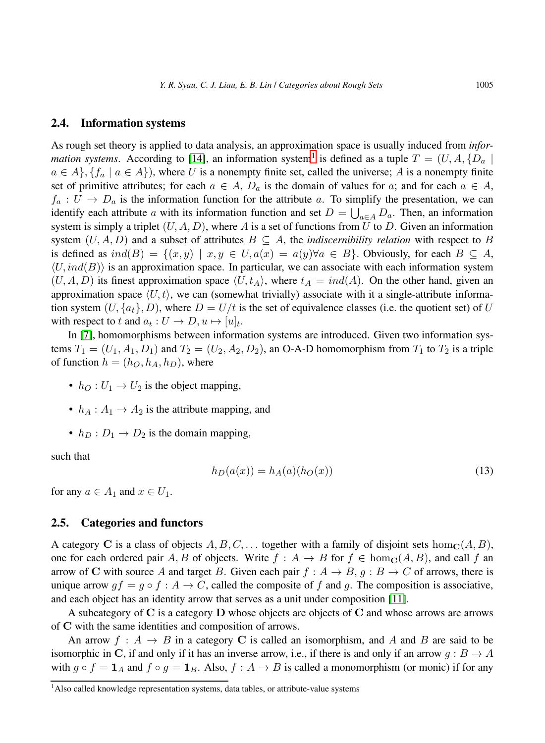### 2.4. Information systems

As rough set theory is applied to data analysis, an approximation space is usually induced from *information systems.* According to [\[14\]](#page-14-0), an information system<sup>[1](#page-4-0)</sup> is defined as a tuple  $T = (U, A, \{D_a \mid$  $a \in A$ ,  $\{f_a \mid a \in A\}$ , where U is a nonempty finite set, called the universe; A is a nonempty finite set of primitive attributes; for each  $a \in A$ ,  $D_a$  is the domain of values for a; and for each  $a \in A$ ,  $f_a: U \to D_a$  is the information function for the attribute a. To simplify the presentation, we can identify each attribute a with its information function and set  $D = \bigcup_{a \in A} D_a$ . Then, an information system is simply a triplet  $(U, A, D)$ , where A is a set of functions from U to D. Given an information system  $(U, A, D)$  and a subset of attributes  $B \subseteq A$ , the *indiscernibility relation* with respect to B is defined as  $ind(B) = \{(x, y) | x, y \in U, a(x) = a(y) \forall a \in B\}$ . Obviously, for each  $B \subseteq A$ ,  $\langle U, ind(B) \rangle$  is an approximation space. In particular, we can associate with each information system  $(U, A, D)$  its finest approximation space  $\langle U, t_A \rangle$ , where  $t_A = ind(A)$ . On the other hand, given an approximation space  $\langle U, t \rangle$ , we can (somewhat trivially) associate with it a single-attribute information system  $(U, \{a_t\}, D)$ , where  $D = U/t$  is the set of equivalence classes (i.e. the quotient set) of U with respect to t and  $a_t: U \to D, u \mapsto [u]_t$ .

In [\[7\]](#page-14-6), homomorphisms between information systems are introduced. Given two information systems  $T_1 = (U_1, A_1, D_1)$  and  $T_2 = (U_2, A_2, D_2)$ , an O-A-D homomorphism from  $T_1$  to  $T_2$  is a triple of function  $h = (h_O, h_A, h_D)$ , where

- $h_O: U_1 \rightarrow U_2$  is the object mapping,
- $h_A: A_1 \rightarrow A_2$  is the attribute mapping, and
- $h_D : D_1 \rightarrow D_2$  is the domain mapping,

such that

<span id="page-4-1"></span>
$$
h_D(a(x)) = h_A(a)(h_O(x))
$$
\n(13)

for any  $a \in A_1$  and  $x \in U_1$ .

### 2.5. Categories and functors

A category C is a class of objects  $A, B, C, \ldots$  together with a family of disjoint sets hom $_{\mathbf{C}}(A, B)$ , one for each ordered pair A, B of objects. Write  $f : A \to B$  for  $f \in \text{hom}_\mathbf{C}(A, B)$ , and call f an arrow of C with source A and target B. Given each pair  $f : A \rightarrow B$ ,  $g : B \rightarrow C$  of arrows, there is unique arrow  $gf = g \circ f : A \to C$ , called the composite of f and g. The composition is associative, and each object has an identity arrow that serves as a unit under composition [\[11\]](#page-14-7).

A subcategory of  $C$  is a category  $D$  whose objects are objects of  $C$  and whose arrows are arrows of C with the same identities and composition of arrows.

An arrow  $f: A \rightarrow B$  in a category C is called an isomorphism, and A and B are said to be isomorphic in C, if and only if it has an inverse arrow, i.e., if there is and only if an arrow  $q : B \to A$ with  $g \circ f = 1_A$  and  $f \circ g = 1_B$ . Also,  $f : A \to B$  is called a monomorphism (or monic) if for any

<span id="page-4-0"></span><sup>&</sup>lt;sup>1</sup>Also called knowledge representation systems, data tables, or attribute-value systems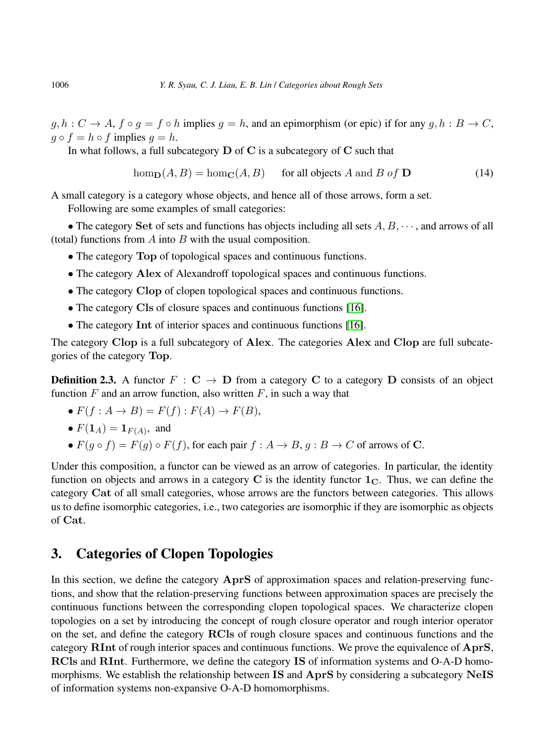$g, h: C \to A$ ,  $f \circ g = f \circ h$  implies  $g = h$ , and an epimorphism (or epic) if for any  $g, h: B \to C$ ,  $q \circ f = h \circ f$  implies  $q = h$ .

In what follows, a full subcategory  $D$  of C is a subcategory of C such that

$$
\text{hom}_{\mathbf{D}}(A, B) = \text{hom}_{\mathbf{C}}(A, B) \quad \text{for all objects } A \text{ and } B \text{ of } \mathbf{D} \tag{14}
$$

A small category is a category whose objects, and hence all of those arrows, form a set.

Following are some examples of small categories:

• The category Set of sets and functions has objects including all sets  $A, B, \dots$ , and arrows of all (total) functions from  $A$  into  $B$  with the usual composition.

- The category Top of topological spaces and continuous functions.
- The category Alex of Alexandroff topological spaces and continuous functions.
- The category Clop of clopen topological spaces and continuous functions.
- The category Cls of closure spaces and continuous functions [\[16\]](#page-14-8).
- The category Int of interior spaces and continuous functions [\[16\]](#page-14-8).

The category Clop is a full subcategory of Alex. The categories Alex and Clop are full subcategories of the category Top.

**Definition 2.3.** A functor  $F : \mathbf{C} \to \mathbf{D}$  from a category C to a category D consists of an object function  $F$  and an arrow function, also written  $F$ , in such a way that

- $F(f: A \rightarrow B) = F(f): F(A) \rightarrow F(B),$
- $F(1_A) = 1_{F(A)}$ , and
- $F(g \circ f) = F(g) \circ F(f)$ , for each pair  $f : A \to B$ ,  $g : B \to C$  of arrows of C.

Under this composition, a functor can be viewed as an arrow of categories. In particular, the identity function on objects and arrows in a category C is the identity functor  $1<sub>C</sub>$ . Thus, we can define the category Cat of all small categories, whose arrows are the functors between categories. This allows us to define isomorphic categories, i.e., two categories are isomorphic if they are isomorphic as objects of Cat.

# 3. Categories of Clopen Topologies

In this section, we define the category AprS of approximation spaces and relation-preserving functions, and show that the relation-preserving functions between approximation spaces are precisely the continuous functions between the corresponding clopen topological spaces. We characterize clopen topologies on a set by introducing the concept of rough closure operator and rough interior operator on the set, and define the category RCls of rough closure spaces and continuous functions and the category RInt of rough interior spaces and continuous functions. We prove the equivalence of AprS, RCls and RInt. Furthermore, we define the category IS of information systems and O-A-D homomorphisms. We establish the relationship between IS and AprS by considering a subcategory NeIS of information systems non-expansive O-A-D homomorphisms.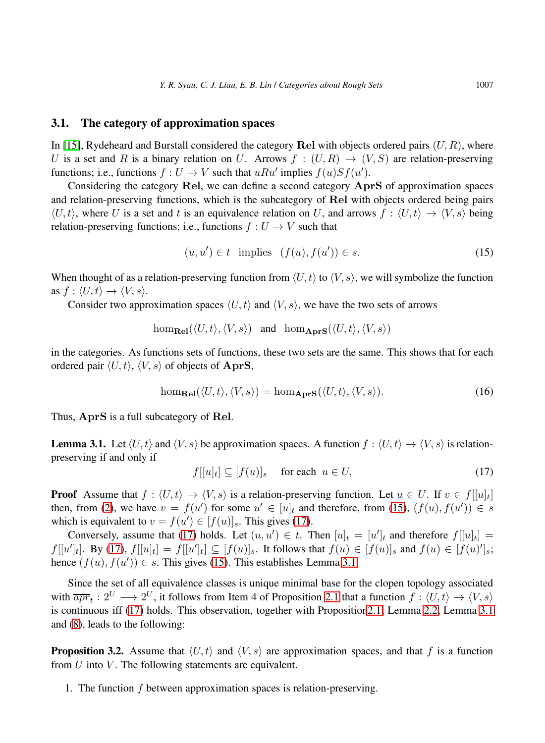### 3.1. The category of approximation spaces

In [\[15\]](#page-14-9), Rydeheard and Burstall considered the category Rel with objects ordered pairs  $(U, R)$ , where U is a set and R is a binary relation on U. Arrows  $f : (U, R) \rightarrow (V, S)$  are relation-preserving functions; i.e., functions  $f: U \to V$  such that  $uRu'$  implies  $f(u)Sf(u')$ .

Considering the category Rel, we can define a second category AprS of approximation spaces and relation-preserving functions, which is the subcategory of Rel with objects ordered being pairs  $\langle U, t \rangle$ , where U is a set and t is an equivalence relation on U, and arrows  $f : \langle U, t \rangle \to \langle V, s \rangle$  being relation-preserving functions; i.e., functions  $f: U \to V$  such that

<span id="page-6-0"></span>
$$
(u, u') \in t \quad \text{implies} \quad (f(u), f(u')) \in s. \tag{15}
$$

When thought of as a relation-preserving function from  $\langle U, t \rangle$  to  $\langle V, s \rangle$ , we will symbolize the function as  $f: \langle U, t \rangle \rightarrow \langle V, s \rangle$ .

Consider two approximation spaces  $\langle U, t \rangle$  and  $\langle V, s \rangle$ , we have the two sets of arrows

$$
\hom_{\mathbf{Rel}}(\langle U, t \rangle, \langle V, s \rangle) \quad \text{and} \quad \hom_{\mathbf{AprS}}(\langle U, t \rangle, \langle V, s \rangle)
$$

in the categories. As functions sets of functions, these two sets are the same. This shows that for each ordered pair  $\langle U, t \rangle$ ,  $\langle V, s \rangle$  of objects of AprS,

$$
\hom_{\mathbf{Rel}}(\langle U, t \rangle, \langle V, s \rangle) = \hom_{\mathbf{AprS}}(\langle U, t \rangle, \langle V, s \rangle). \tag{16}
$$

<span id="page-6-2"></span>Thus, AprS is a full subcategory of Rel.

**Lemma 3.1.** Let  $\langle U, t \rangle$  and  $\langle V, s \rangle$  be approximation spaces. A function  $f : \langle U, t \rangle \rightarrow \langle V, s \rangle$  is relationpreserving if and only if

<span id="page-6-1"></span>
$$
f[[u]_t] \subseteq [f(u)]_s \quad \text{for each} \ \ u \in U,\tag{17}
$$

**Proof** Assume that  $f : \langle U, t \rangle \to \langle V, s \rangle$  is a relation-preserving function. Let  $u \in U$ . If  $v \in f[[u]_t]$ then, from [\(2\)](#page-1-0), we have  $v = f(u')$  for some  $u' \in [u]_t$  and therefore, from [\(15\)](#page-6-0),  $(f(u), f(u')) \in s$ which is equivalent to  $v = f(u') \in [f(u)]_s$ . This gives [\(17\)](#page-6-1).

Conversely, assume that [\(17\)](#page-6-1) holds. Let  $(u, u') \in t$ . Then  $[u]_t = [u']_t$  and therefore  $f[[u]_t] =$  $f[[u']_t]$ . By [\(17\)](#page-6-1),  $f[[u]_t] = f[[u']_t] \subseteq [f(u)]_s$ . It follows that  $f(u) \in [f(u)]_s$  and  $f(u) \in [f(u)]_s$ ; hence  $(f(u), f(u')) \in s$ . This gives [\(15\)](#page-6-0). This establishes Lemma [3.1.](#page-6-2)

Since the set of all equivalence classes is unique minimal base for the clopen topology associated with  $\overline{apr}_t: 2^U \longrightarrow 2^U$ , it follows from Item 4 of Proposition [2.1](#page-2-1) that a function  $f: \langle U, t \rangle \rightarrow \langle V, s \rangle$ is continuous iff [\(17\)](#page-6-1) holds. This observation, together with Propositio[n2.1,](#page-2-1) Lemma [2.2,](#page-3-1) Lemma [3.1](#page-6-2) and [\(8\)](#page-3-2), leads to the following:

<span id="page-6-3"></span>**Proposition 3.2.** Assume that  $\langle U, t \rangle$  and  $\langle V, s \rangle$  are approximation spaces, and that f is a function from  $U$  into  $V$ . The following statements are equivalent.

1. The function f between approximation spaces is relation-preserving.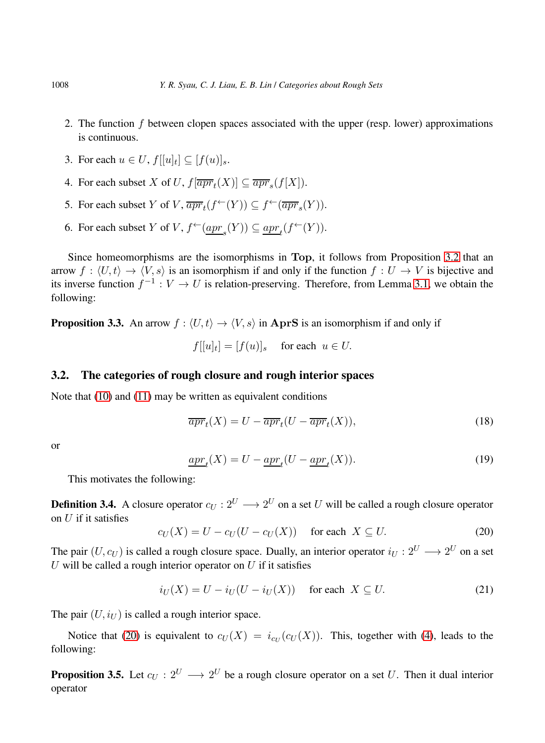- 2. The function f between clopen spaces associated with the upper (resp. lower) approximations is continuous.
- 3. For each  $u \in U$ ,  $f[[u]_t] \subseteq [f(u)]_s$ .
- 4. For each subset X of U,  $f[\overline{apr}_t(X)] \subseteq \overline{apr}_s(f[X])$ .
- 5. For each subset Y of V,  $\overline{apr}_t(f^{\leftarrow}(Y)) \subseteq f^{\leftarrow}(\overline{apr}_s(Y)).$
- 6. For each subset Y of V,  $f^{\leftarrow}(\underline{apr}_s(Y)) \subseteq \underline{apr}_t(f^{\leftarrow}(Y)).$

Since homeomorphisms are the isomorphisms in Top, it follows from Proposition [3.2](#page-6-3) that an arrow  $f : \langle U, t \rangle \to \langle V, s \rangle$  is an isomorphism if and only if the function  $f : U \to V$  is bijective and its inverse function  $f^{-1}: V \to U$  is relation-preserving. Therefore, from Lemma [3.1,](#page-6-2) we obtain the following:

**Proposition 3.3.** An arrow  $f : \langle U, t \rangle \rightarrow \langle V, s \rangle$  in AprS is an isomorphism if and only if

$$
f[[u]_t] = [f(u)]_s \quad \text{ for each } u \in U.
$$

## 3.2. The categories of rough closure and rough interior spaces

Note that [\(10\)](#page-3-3) and [\(11\)](#page-3-4) may be written as equivalent conditions

$$
\overline{apr}_t(X) = U - \overline{apr}_t(U - \overline{apr}_t(X)), \tag{18}
$$

or

$$
\underline{apr}_t(X) = U - \underline{apr}_t(U - \underline{apr}_t(X)). \tag{19}
$$

<span id="page-7-1"></span>This motivates the following:

**Definition 3.4.** A closure operator  $c_U : 2^U \longrightarrow 2^U$  on a set U will be called a rough closure operator on  $U$  if it satisfies

<span id="page-7-0"></span>
$$
c_U(X) = U - c_U(U - c_U(X)) \quad \text{for each } X \subseteq U. \tag{20}
$$

The pair  $(U, c_U)$  is called a rough closure space. Dually, an interior operator  $i_U : 2^U \longrightarrow 2^U$  on a set U will be called a rough interior operator on  $U$  if it satisfies

$$
i_U(X) = U - i_U(U - i_U(X)) \quad \text{for each } X \subseteq U. \tag{21}
$$

The pair  $(U, i_U)$  is called a rough interior space.

<span id="page-7-2"></span>Notice that [\(20\)](#page-7-0) is equivalent to  $c_U(X) = i_{c_U}(c_U(X))$ . This, together with [\(4\)](#page-2-2), leads to the following:

**Proposition 3.5.** Let  $c_U: 2^U \longrightarrow 2^U$  be a rough closure operator on a set U. Then it dual interior operator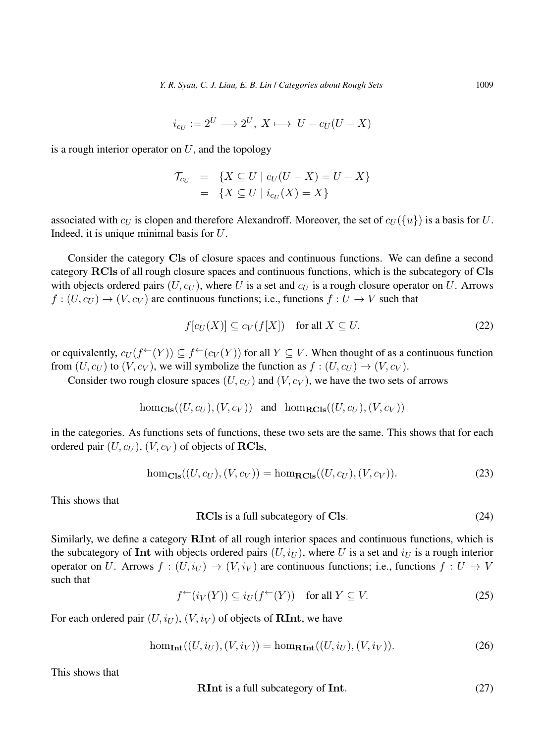$$
i_{c_U} := 2^U \longrightarrow 2^U, \ X \longmapsto \ U - c_U(U - X)
$$

is a rough interior operator on  $U$ , and the topology

$$
\begin{array}{rcl} \mathcal{T}_{c_U} & = & \{ X \subseteq U \mid c_U(U - X) = U - X \} \\ & = & \{ X \subseteq U \mid i_{c_U}(X) = X \} \end{array}
$$

associated with  $c_U$  is clopen and therefore Alexandroff. Moreover, the set of  $c_U({u})$  is a basis for U. Indeed, it is unique minimal basis for U.

Consider the category Cls of closure spaces and continuous functions. We can define a second category RCls of all rough closure spaces and continuous functions, which is the subcategory of Cls with objects ordered pairs  $(U, c_U)$ , where U is a set and  $c_U$  is a rough closure operator on U. Arrows  $f:(U, c_U) \to (V, c_V)$  are continuous functions; i.e., functions  $f: U \to V$  such that

<span id="page-8-0"></span>
$$
f[c_U(X)] \subseteq c_V(f[X]) \quad \text{for all } X \subseteq U. \tag{22}
$$

or equivalently,  $c_U(f^{\leftarrow}(Y)) \subseteq f^{\leftarrow}(c_V(Y))$  for all  $Y \subseteq V$ . When thought of as a continuous function from  $(U, c_U)$  to  $(V, c_V)$ , we will symbolize the function as  $f : (U, c_U) \rightarrow (V, c_V)$ .

Consider two rough closure spaces  $(U, c_U)$  and  $(V, c_V)$ , we have the two sets of arrows

hom<sub>Cls</sub>
$$
((U, c_U), (V, c_V))
$$
 and hom<sub>RCls</sub> $((U, c_U), (V, c_V))$ 

in the categories. As functions sets of functions, these two sets are the same. This shows that for each ordered pair  $(U, c_U)$ ,  $(V, c_V)$  of objects of RCls,

$$
\text{hom}_{\text{Cls}}((U, c_U), (V, c_V)) = \text{hom}_{\text{RCls}}((U, c_U), (V, c_V)).
$$
\n(23)

This shows that

$$
RCls is a full subcategory of Cls.
$$
\n(24)

Similarly, we define a category RInt of all rough interior spaces and continuous functions, which is the subcategory of Int with objects ordered pairs  $(U, i_U)$ , where U is a set and  $i_U$  is a rough interior operator on U. Arrows  $f : (U, i_U) \to (V, i_V)$  are continuous functions; i.e., functions  $f : U \to V$ such that

$$
f^{\leftarrow}(i_V(Y)) \subseteq i_U(f^{\leftarrow}(Y)) \quad \text{for all } Y \subseteq V. \tag{25}
$$

For each ordered pair  $(U, i_U)$ ,  $(V, i_V)$  of objects of **RInt**, we have

$$
\hom_{\mathbf{Int}}((U,i_U),(V,i_V)) = \hom_{\mathbf{RInt}}((U,i_U),(V,i_V)).\tag{26}
$$

This shows that

$$
RInt is a full subcategory of Int. \t(27)
$$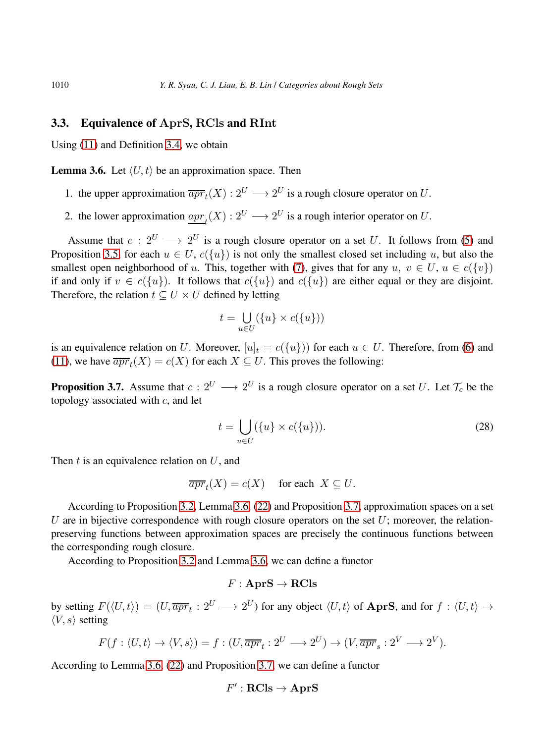### 3.3. Equivalence of AprS, RCls and RInt

<span id="page-9-0"></span>Using [\(11\)](#page-3-4) and Definition [3.4,](#page-7-1) we obtain

**Lemma 3.6.** Let  $\langle U, t \rangle$  be an approximation space. Then

- 1. the upper approximation  $\overline{apr}_t(X) : 2^U \longrightarrow 2^U$  is a rough closure operator on U.
- 2. the lower approximation  $\underline{apr}_t(X) : 2^U \longrightarrow 2^U$  is a rough interior operator on U.

Assume that  $c: 2^U \longrightarrow 2^U$  is a rough closure operator on a set U. It follows from [\(5\)](#page-3-5) and Proposition [3.5,](#page-7-2) for each  $u \in U$ ,  $c({u})$  is not only the smallest closed set including u, but also the smallest open neighborhood of u. This, together with [\(7\)](#page-3-6), gives that for any  $u, v \in U, u \in c({v})$ if and only if  $v \in c({u})$ . It follows that  $c({u})$  and  $c({u})$  are either equal or they are disjoint. Therefore, the relation  $t \subseteq U \times U$  defined by letting

$$
t = \bigcup_{u \in U} (\{u\} \times c(\{u\}))
$$

<span id="page-9-1"></span>is an equivalence relation on U. Moreover,  $[u]_t = c({u})$  for each  $u \in U$ . Therefore, from [\(6\)](#page-3-7) and [\(11\)](#page-3-4), we have  $\overline{apr}_t(X) = c(X)$  for each  $X \subseteq U$ . This proves the following:

**Proposition 3.7.** Assume that  $c: 2^U \longrightarrow 2^U$  is a rough closure operator on a set U. Let  $\mathcal{T}_c$  be the topology associated with  $c$ , and let

$$
t = \bigcup_{u \in U} (\{u\} \times c(\{u\})).
$$
\n(28)

Then  $t$  is an equivalence relation on  $U$ , and

 $\overline{apr}_t(X) = c(X)$  for each  $X \subseteq U$ .

According to Proposition [3.2,](#page-6-3) Lemma [3.6,](#page-9-0) [\(22\)](#page-8-0) and Proposition [3.7,](#page-9-1) approximation spaces on a set U are in bijective correspondence with rough closure operators on the set  $U$ ; moreover, the relationpreserving functions between approximation spaces are precisely the continuous functions between the corresponding rough closure.

According to Proposition [3.2](#page-6-3) and Lemma [3.6,](#page-9-0) we can define a functor

## $F : \mathbf{A}\mathbf{p}\mathbf{r}\mathbf{S} \to \mathbf{R}\mathbf{C}\mathbf{l}\mathbf{s}$

by setting  $F(\langle U, t \rangle) = (U, \overline{apr}_t : 2^U \longrightarrow 2^U)$  for any object  $\langle U, t \rangle$  of AprS, and for  $f : \langle U, t \rangle \rightarrow$  $\langle V, s \rangle$  setting

$$
F(f: \langle U, t \rangle \to \langle V, s \rangle) = f: (U, \overline{apr}_t : 2^U \to 2^U) \to (V, \overline{apr}_s : 2^V \to 2^V).
$$

According to Lemma [3.6,](#page-9-0) [\(22\)](#page-8-0) and Proposition [3.7,](#page-9-1) we can define a functor

$$
F':\mathbf{RCls}\to\mathbf{AprS}
$$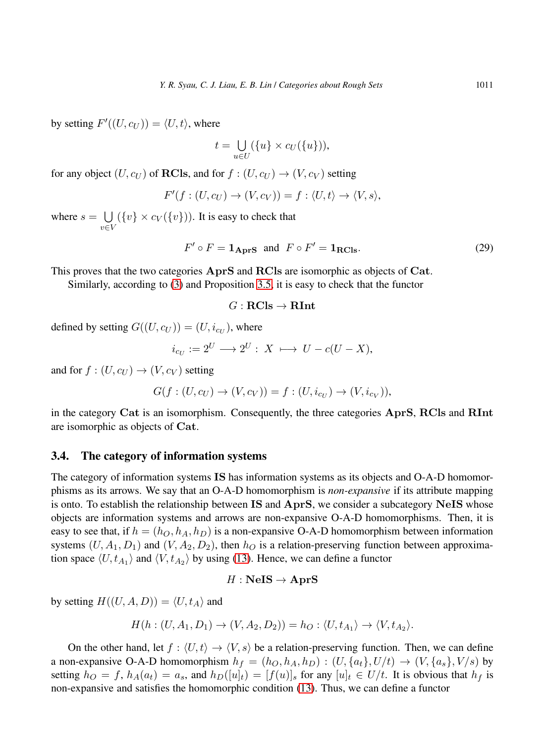by setting  $F'((U, c_U)) = \langle U, t \rangle$ , where

$$
t = \bigcup_{u \in U} (\{u\} \times c_U(\{u\})),
$$

for any object  $(U, c_U)$  of **RCls**, and for  $f : (U, c_U) \rightarrow (V, c_V)$  setting

$$
F'(f:(U,c_U)\to (V,c_V))=f:\langle U,t\rangle\to \langle V,s\rangle,
$$

where  $s = \bigcup$ v∈V  $({v} \times c_V({v}$ )). It is easy to check that

$$
F' \circ F = \mathbf{1}_{\text{AprS}} \text{ and } F \circ F' = \mathbf{1}_{\text{RCls}}.\tag{29}
$$

This proves that the two categories AprS and RCls are isomorphic as objects of Cat.

Similarly, according to [\(3\)](#page-2-0) and Proposition [3.5,](#page-7-2) it is easy to check that the functor

#### $G : \mathbf{RCls} \to \mathbf{RInt}$

defined by setting  $G((U, c_U)) = (U, i_{c_U})$ , where

$$
i_{c_U} := 2^U \longrightarrow 2^U : X \longmapsto U - c(U - X),
$$

and for  $f : (U, c_U) \rightarrow (V, c_V)$  setting

$$
G(f:(U,c_U) \to (V,c_V)) = f:(U,i_{c_U}) \to (V,i_{c_V})),
$$

in the category Cat is an isomorphism. Consequently, the three categories AprS, RCls and RInt are isomorphic as objects of Cat.

### 3.4. The category of information systems

The category of information systems IS has information systems as its objects and O-A-D homomorphisms as its arrows. We say that an O-A-D homomorphism is *non-expansive* if its attribute mapping is onto. To establish the relationship between IS and AprS, we consider a subcategory NeIS whose objects are information systems and arrows are non-expansive O-A-D homomorphisms. Then, it is easy to see that, if  $h = (h_O, h_A, h_D)$  is a non-expansive O-A-D homomorphism between information systems  $(U, A_1, D_1)$  and  $(V, A_2, D_2)$ , then  $h<sub>O</sub>$  is a relation-preserving function between approximation space  $\langle U, t_{A_1} \rangle$  and  $\langle V, t_{A_2} \rangle$  by using [\(13\)](#page-4-1). Hence, we can define a functor

## $H :$  NeIS  $\rightarrow$  AprS

by setting  $H((U, A, D)) = \langle U, t_A \rangle$  and

$$
H(h:(U,A_1,D_1)\rightarrow (V,A_2,D_2))=h_O:\langle U,t_{A_1}\rangle\rightarrow \langle V,t_{A_2}\rangle.
$$

On the other hand, let  $f : \langle U, t \rangle \to \langle V, s \rangle$  be a relation-preserving function. Then, we can define a non-expansive O-A-D homomorphism  $h_f = (h_O, h_A, h_D) : (U, \{a_t\}, U/t) \rightarrow (V, \{a_s\}, V/s)$  by setting  $h_O = f$ ,  $h_A(a_t) = a_s$ , and  $h_D([u]_t) = [f(u)]_s$  for any  $[u]_t \in U/t$ . It is obvious that  $h_f$  is non-expansive and satisfies the homomorphic condition [\(13\)](#page-4-1). Thus, we can define a functor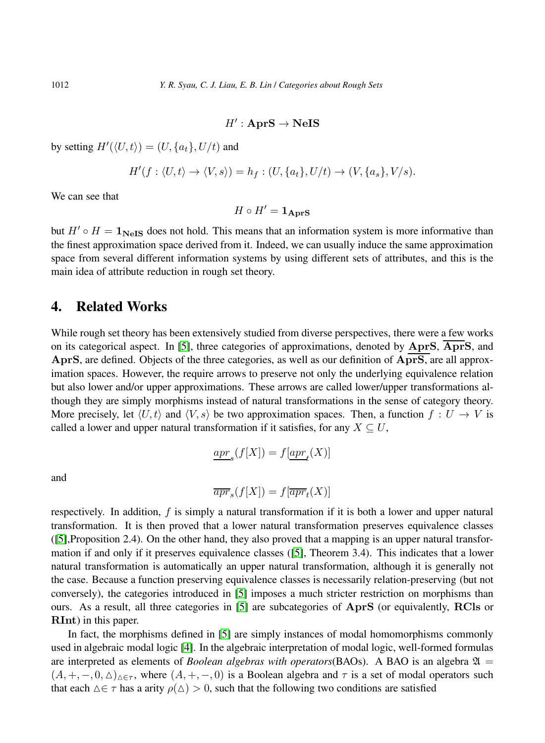## $H':$  AprS  $\rightarrow$  NeIS

by setting  $H'(\langle U, t \rangle) = (U, \{a_t\}, U/t)$  and

$$
H'(f: \langle U, t \rangle \to \langle V, s \rangle) = h_f: (U, \{a_t\}, U/t) \to (V, \{a_s\}, V/s).
$$

We can see that

$$
H\circ H' = \mathbf{1_{AprS}}
$$

but  $H' \circ H = 1_{\text{NeIS}}$  does not hold. This means that an information system is more informative than the finest approximation space derived from it. Indeed, we can usually induce the same approximation space from several different information systems by using different sets of attributes, and this is the main idea of attribute reduction in rough set theory.

## 4. Related Works

While rough set theory has been extensively studied from diverse perspectives, there were a few works on its categorical aspect. In [\[5\]](#page-14-1), three categories of approximations, denoted by  $AprS$ ,  $\overline{AprS}$ , and AprS, are defined. Objects of the three categories, as well as our definition of AprS, are all approximation spaces. However, the require arrows to preserve not only the underlying equivalence relation but also lower and/or upper approximations. These arrows are called lower/upper transformations although they are simply morphisms instead of natural transformations in the sense of category theory. More precisely, let  $\langle U, t \rangle$  and  $\langle V, s \rangle$  be two approximation spaces. Then, a function  $f : U \to V$  is called a lower and upper natural transformation if it satisfies, for any  $X \subseteq U$ ,

$$
\underline{apr}_s(f[X]) = f[\underline{apr}_t(X)]
$$

and

$$
\overline{apr}_s(f[X]) = f[\overline{apr}_t(X)]
$$

respectively. In addition, f is simply a natural transformation if it is both a lower and upper natural transformation. It is then proved that a lower natural transformation preserves equivalence classes ([\[5\]](#page-14-1),Proposition 2.4). On the other hand, they also proved that a mapping is an upper natural transformation if and only if it preserves equivalence classes ([\[5\]](#page-14-1), Theorem 3.4). This indicates that a lower natural transformation is automatically an upper natural transformation, although it is generally not the case. Because a function preserving equivalence classes is necessarily relation-preserving (but not conversely), the categories introduced in [\[5\]](#page-14-1) imposes a much stricter restriction on morphisms than ours. As a result, all three categories in [\[5\]](#page-14-1) are subcategories of AprS (or equivalently, RCls or RInt) in this paper.

In fact, the morphisms defined in [\[5\]](#page-14-1) are simply instances of modal homomorphisms commonly used in algebraic modal logic [\[4\]](#page-14-10). In the algebraic interpretation of modal logic, well-formed formulas are interpreted as elements of *Boolean algebras with operators*(BAOs). A BAO is an algebra  $\mathfrak{A} =$  $(A, +, -, 0, \triangle)_{\triangle \in \tau}$ , where  $(A, +, -, 0)$  is a Boolean algebra and  $\tau$  is a set of modal operators such that each  $\Delta \in \tau$  has a arity  $\rho(\Delta) > 0$ , such that the following two conditions are satisfied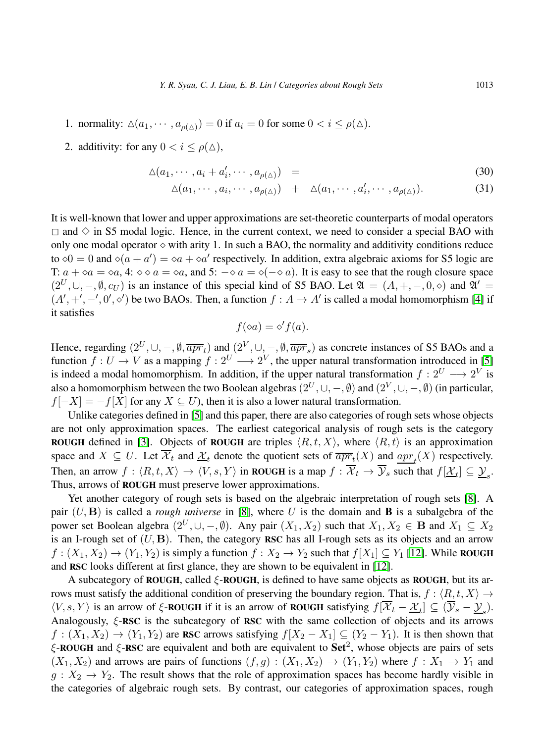- 1. normality:  $\Delta(a_1, \dots, a_{\rho(\Delta)}) = 0$  if  $a_i = 0$  for some  $0 < i \le \rho(\Delta)$ .
- 2. additivity: for any  $0 < i < \rho(\Delta)$ ,

$$
\Delta(a_1, \cdots, a_i + a'_i, \cdots, a_{\rho(\Delta)}) = \tag{30}
$$

$$
\Delta(a_1, \cdots, a_i, \cdots, a_{\rho(\Delta)}) + \Delta(a_1, \cdots, a_i', \cdots, a_{\rho(\Delta)}).
$$
 (31)

It is well-known that lower and upper approximations are set-theoretic counterparts of modal operators  $\Box$  and  $\diamond$  in S5 modal logic. Hence, in the current context, we need to consider a special BAO with only one modal operator  $\diamond$  with arity 1. In such a BAO, the normality and additivity conditions reduce to  $\phi 0 = 0$  and  $\phi(a + a') = \phi a + \phi a'$  respectively. In addition, extra algebraic axioms for S5 logic are T:  $a + \diamond a = \diamond a$ , 4:  $\diamond \diamond a = \diamond a$ , and 5:  $-\diamond a = \diamond (-\diamond a)$ . It is easy to see that the rough closure space  $(2^U, \cup, -, \emptyset, c_U)$  is an instance of this special kind of S5 BAO. Let  $\mathfrak{A} = (A, +, -, 0, \diamond)$  and  $\mathfrak{A}' =$  $(A', +', -', 0', \diamond')$  be two BAOs. Then, a function  $f : A \to A'$  is called a modal homomorphism [\[4\]](#page-14-10) if it satisfies

$$
f(\diamond a) = \diamond' f(a).
$$

Hence, regarding  $(2^U, \cup, -, \emptyset, \overline{apr}_t)$  and  $(2^V, \cup, -, \emptyset, \overline{ apr}_s)$  as concrete instances of S5 BAOs and a function  $f: U \to V$  as a mapping  $f: 2^U \longrightarrow 2^V$ , the upper natural transformation introduced in [\[5\]](#page-14-1) is indeed a modal homomorphism. In addition, if the upper natural transformation  $f: 2^U \longrightarrow 2^V$  is also a homomorphism between the two Boolean algebras  $(2^U, \cup, -, \emptyset)$  and  $(2^V, \cup, -, \emptyset)$  (in particular,  $f[-X] = -f[X]$  for any  $X \subseteq U$ ), then it is also a lower natural transformation.

Unlike categories defined in [\[5\]](#page-14-1) and this paper, there are also categories of rough sets whose objects are not only approximation spaces. The earliest categorical analysis of rough sets is the category ROUGH defined in [\[3\]](#page-14-11). Objects of ROUGH are triples  $\langle R, t, X \rangle$ , where  $\langle R, t \rangle$  is an approximation space and  $X \subseteq U$ . Let  $\mathcal{X}_t$  and  $\underline{\mathcal{X}}_t$  denote the quotient sets of  $\overline{apr_t}(X)$  and  $\underline{apr_t}(X)$  respectively. Then, an arrow  $f: \langle R, t, X \rangle \to \langle V, s, Y \rangle$  in ROUGH is a map  $f: \mathcal{X}_t \to \mathcal{Y}_s$  such that  $f[\underline{\mathcal{X}}_t] \subseteq \underline{\mathcal{Y}}_s$ . Thus, arrows of ROUGH must preserve lower approximations.

Yet another category of rough sets is based on the algebraic interpretation of rough sets [\[8\]](#page-14-12). A pair (U, B) is called a *rough universe* in [\[8\]](#page-14-12), where U is the domain and B is a subalgebra of the power set Boolean algebra  $(2^U, \cup, -, \emptyset)$ . Any pair  $(X_1, X_2)$  such that  $X_1, X_2 \in \mathbf{B}$  and  $X_1 \subseteq X_2$ is an I-rough set of  $(U, B)$ . Then, the category RSC has all I-rough sets as its objects and an arrow  $f: (X_1, X_2) \to (Y_1, Y_2)$  is simply a function  $f: X_2 \to Y_2$  such that  $f[X_1] \subseteq Y_1$  [\[12\]](#page-14-13). While ROUGH and RSC looks different at first glance, they are shown to be equivalent in [\[12\]](#page-14-13).

A subcategory of ROUGH, called  $\xi$ -ROUGH, is defined to have same objects as ROUGH, but its arrows must satisfy the additional condition of preserving the boundary region. That is,  $f : \langle R, t, X \rangle \rightarrow$  $\langle V, s, Y \rangle$  is an arrow of  $\xi$ -ROUGH if it is an arrow of ROUGH satisfying  $f[\mathcal{X}_t - \underline{\mathcal{X}}_t] \subseteq (\mathcal{Y}_s - \underline{\mathcal{Y}}_s)$ . Analogously, ξ-RSC is the subcategory of RSC with the same collection of objects and its arrows  $f: (X_1, X_2) \to (Y_1, Y_2)$  are RSC arrows satisfying  $f[X_2 - X_1] \subseteq (Y_2 - Y_1)$ . It is then shown that  $\xi$ -ROUGH and  $\xi$ -RSC are equivalent and both are equivalent to Set<sup>2</sup>, whose objects are pairs of sets  $(X_1, X_2)$  and arrows are pairs of functions  $(f, g) : (X_1, X_2) \to (Y_1, Y_2)$  where  $f : X_1 \to Y_1$  and  $g: X_2 \to Y_2$ . The result shows that the role of approximation spaces has become hardly visible in the categories of algebraic rough sets. By contrast, our categories of approximation spaces, rough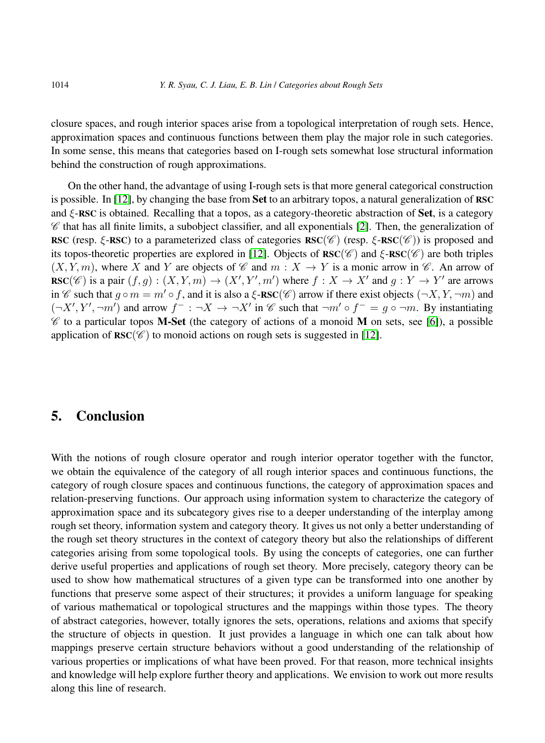closure spaces, and rough interior spaces arise from a topological interpretation of rough sets. Hence, approximation spaces and continuous functions between them play the major role in such categories. In some sense, this means that categories based on I-rough sets somewhat lose structural information behind the construction of rough approximations.

On the other hand, the advantage of using I-rough sets is that more general categorical construction is possible. In  $[12]$ , by changing the base from Set to an arbitrary topos, a natural generalization of RSC and  $\xi$ -RSC is obtained. Recalling that a topos, as a category-theoretic abstraction of **Set**, is a category  $\mathscr C$  that has all finite limits, a subobject classifier, and all exponentials [\[2\]](#page-14-14). Then, the generalization of RSC (resp.  $\xi$ -RSC) to a parameterized class of categories RSC( $\mathscr{C}$ ) (resp.  $\xi$ -RSC( $\mathscr{C}$ )) is proposed and its topos-theoretic properties are explored in [\[12\]](#page-14-13). Objects of  $\text{RSC}(\mathscr{C})$  and  $\xi$ - $\text{RSC}(\mathscr{C})$  are both triples  $(X, Y, m)$ , where X and Y are objects of C and  $m : X \to Y$  is a monic arrow in C. An arrow of  $\text{RSC}(\mathscr{C})$  is a pair  $(f,g) : (X,Y,m) \to (X',Y',m')$  where  $f : X \to X'$  and  $g : Y \to Y'$  are arrows in C such that  $q \circ m = m' \circ f$ , and it is also a  $\xi$ -RSC(C) arrow if there exist objects  $(\neg X, Y, \neg m)$  and  $(\neg X', Y', \neg m')$  and arrow  $f^- : \neg X \to \neg X'$  in  $\mathscr C$  such that  $\neg m' \circ f^- = g \circ \neg m$ . By instantiating  $\mathscr C$  to a particular topos **M-Set** (the category of actions of a monoid **M** on sets, see [\[6\]](#page-14-15)), a possible application of  $\text{RSC}(\mathscr{C})$  to monoid actions on rough sets is suggested in [\[12\]](#page-14-13).

# 5. Conclusion

With the notions of rough closure operator and rough interior operator together with the functor, we obtain the equivalence of the category of all rough interior spaces and continuous functions, the category of rough closure spaces and continuous functions, the category of approximation spaces and relation-preserving functions. Our approach using information system to characterize the category of approximation space and its subcategory gives rise to a deeper understanding of the interplay among rough set theory, information system and category theory. It gives us not only a better understanding of the rough set theory structures in the context of category theory but also the relationships of different categories arising from some topological tools. By using the concepts of categories, one can further derive useful properties and applications of rough set theory. More precisely, category theory can be used to show how mathematical structures of a given type can be transformed into one another by functions that preserve some aspect of their structures; it provides a uniform language for speaking of various mathematical or topological structures and the mappings within those types. The theory of abstract categories, however, totally ignores the sets, operations, relations and axioms that specify the structure of objects in question. It just provides a language in which one can talk about how mappings preserve certain structure behaviors without a good understanding of the relationship of various properties or implications of what have been proved. For that reason, more technical insights and knowledge will help explore further theory and applications. We envision to work out more results along this line of research.